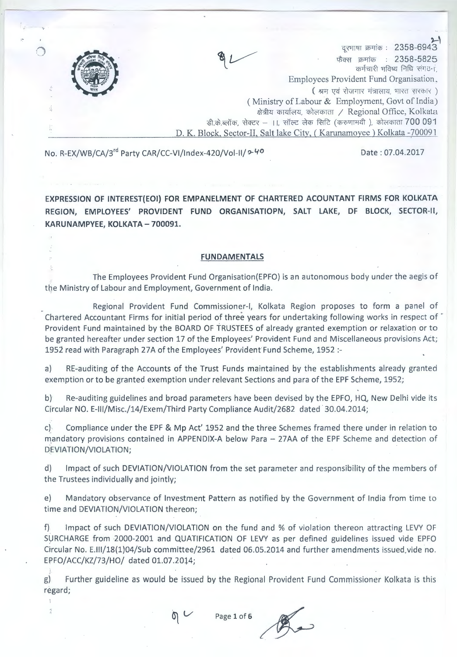

## No. R-EX/WB/CA/3<sup>rd</sup> Party CAR/CC-VI/Index-420/Vol-II/  $\sim$  40 Date: 07.04.2017

**EXPRESSION OF INTEREST(EOI) FOR EMPANELMENT OF CHARTERED ACOUNTANT FIRMS FOR KOLKATA REGION, EMPLOYEES' PROVIDENT FUND ORGANISATIOPN, SALT LAKE, DF BLOCK, SECTOR-II, KARUNAMPYEE, KOLKATA- 700091.** 

#### **FUNDAMENTALS**

The Employees Provident Fund Organisation(EPFO) is an autonomous body under the aegis of the Ministry of Labour and Employment, Government of India.

Regional Provident Fund Commissioner-I, Kolkata Region proposes to form a panel of Chartered Accountant Firms for initial period of three years for undertaking following works in respect of " Provident Fund maintained by the BOARD OF TRUSTEES of already granted exemption or relaxation or to be granted hereafter under section 17 of the Employees' Provident Fund and Miscellaneous provisions Act; 1952 read with Paragraph 27A of the Employees' Provident Fund Scheme, 1952 :-

a) RE-auditing of the Accounts of the Trust Funds maintained by the establishments already granted exemption or to be granted exemption under relevant Sections and para of the EPF Scheme, 1952;

b) Re-auditing guidelines and broad parameters have been devised by the EPFO, HQ, New Delhi vide its Circular NO. E-111/Misc./14/Exem/Third Party Compliance Audit/2682 dated · 30.04.2014;

c) Compliance under the EPF & Mp Act' 1952 and the three Schemes framed there under in relation to mandatory provisions contained in APPENDIX-A below Para - 27AA of the EPF Scheme and detection of DEVIATION/VIOLATION;

d) Impact of such DEVIATION/VIOLATION from the set parameter and responsibility of the members of the Trustees individually and jointly;

e) Mandatory observance of Investment Pattern as notified by the Government of India from time to time and DEVIATION/VIOLATION thereon;

f) Impact of such DEVIATION/VIOLATION on the fund and % of violation thereon attracting LEVY OF SURCHARGE from 2000-2001 and QUATIFICATION OF LEVY as per defined guidelines issued vide EPFO Circular No. E.111/18(1)04/Sub committee/2961 dated 06.05.2014 and further amendments issued.vide no. EPFO/ACC/KZ/73/HO/ dated 01.07.2014;

g) Further guideline as would be issued by the Regional Provident Fund Commissioner Kolkata is this regard;<br> **Page 1 of 6** *Page 1 of 6 Page 1 of 6 Page 1 of 6* **<b>Page 1 Page 1 of 6 Page 1 Page 1 Page 1 P** regard;



.i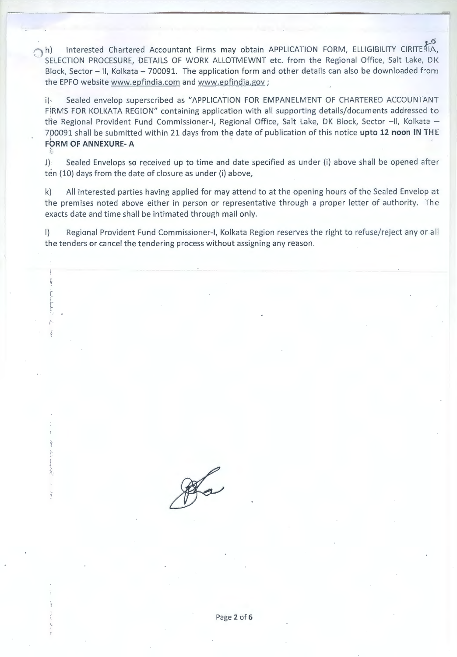h) Interested Chartered Accountant Firms may obtain APPLICATION FORM, ELLIGIBILITY CIRITERIA, SELECTION PROCESURE, DETAILS OF WORK ALLOTMEWNT etc. from the Regional Office, Salt Lake, DK Block, Sector - II, Kolkata - 700091. The application form and other details can also be downloaded from the EPFO website www.epfindia.com and www.epfindia.gov ;

i)· Sealed envelop superscribed as "APPLICATION FOR EMPANELMENT OF CHARTERED ACCOUNTANT FIRMS FOR KOLKATA REGION" containing application with all supporting details/documents addressed to the Regional Provident Fund Commissioner-I, Regional Office, Salt Lake, DK Block, Sector --II, Kolkata --7p0091 shall be submitted within 21 days from the date of publication of this notice **upto 12 noon IN THE FORM OF ANNEXURE- A** 

J) Sealed Envelops so received up to time and date specified as under (i) above shall be opened after ten (10) days from the date of closure as under (i) above,

k) All interested parties having applied for may attend to at the opening hours of the Sealed Envelop at the premises noted above either in person or representative through a proper letter of authority. The exacts date and time shall be intimated through mail only.

I) Regional Provident Fund Commissioner-I, Kolkata Region reserves the right to refuse/reject any or all the tenders or cancel the tendering process without assigning any reason .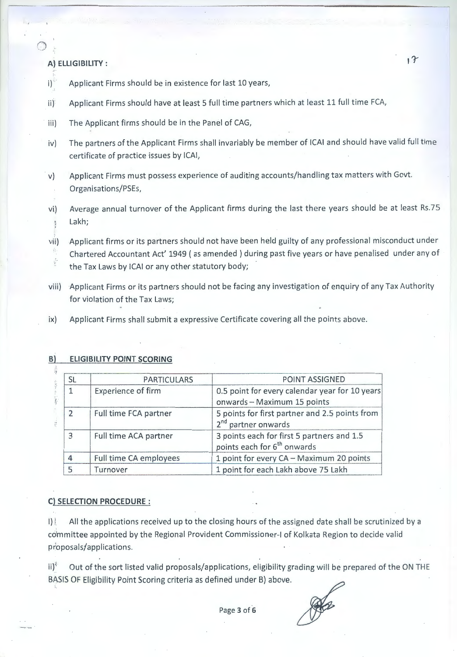### **A') ELLIGIBILITY** : *''r* .• ·

- i)<sup>2</sup> Applicant Firms should be in existence for last 10 years,
- ii)' Applicant Firms should have at least 5 full time partners which at least 11 full time FCA,
- iii) The Applicant firms should be in the Panel of CAG,
- iv) The partners of the Applicant Firms shall invariably be member of ICAI and should have valid full time certificate of practice issues by ICAI,
- · v) Applicant Firms must possess experience of auditing accounts/handling tax matters with Govt. Organisations/PSEs,
- vi) Average annual turnover of the Applicant firms during the last there years should be at least Rs.75 <sup>I</sup>Lakh; *<sup>j</sup>*
- vii) Applicant firms or its partners should not have been held guilty of any professional misconduct under Chartered Accountant Act' 1949 ( as amended ) during past five years or have penalised under any of  $\frac{1}{2}$  ,  $\frac{1}{2}$  ,  $\frac{1}{2}$ the Tax Laws by ICAI or any other statutory body;
- viii) Applicant Firms or its partners should not be facing any investigation of enquiry of any Tax Authority for violation of the Tax Laws;
- ix) Applicant Firms shall submit a expressive Certificate covering all the points above.

## **B) ELIGIBILITY POINT SCORING**

| <b>SL</b>      | <b>PARTICULARS</b>        | POINT ASSIGNED                                                                        |  |  |
|----------------|---------------------------|---------------------------------------------------------------------------------------|--|--|
|                | <b>Experience of firm</b> | 0.5 point for every calendar year for 10 years<br>onwards - Maximum 15 points         |  |  |
| $\mathfrak{I}$ | Full time FCA partner     | 5 points for first partner and 2.5 points from<br>2 <sup>nd</sup> partner onwards     |  |  |
| $\mathbf{R}$   | Full time ACA partner     | 3 points each for first 5 partners and 1.5<br>points each for 6 <sup>th</sup> onwards |  |  |
|                | Full time CA employees    | 1 point for every CA - Maximum 20 points                                              |  |  |
|                | Turnover                  | 1 point for each Lakh above 75 Lakh                                                   |  |  |

#### **C) SELECTION PROCEDURE** :

I)! All the applications received up to the closing hours of the assigned date shall be scrutinized by a committee appointed by the Regional Provident Commissioner-I of Kolkata Region to decide valid proposals/applications.

ii)<sup>4</sup> Out of the sort listed valid proposals/applications, eligibility grading will be prepared of the ON THE BASIS OF Eligibility Point Scoring criteria as defined under B) above.

PAR

Page **3** of **6**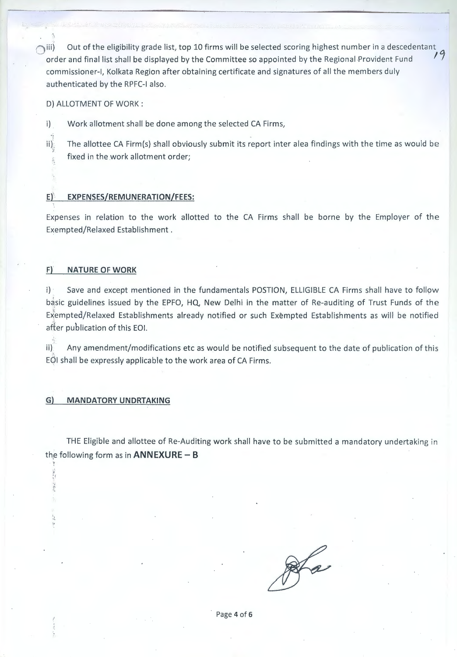$\bigcirc$ iii) Out of the eligibility grade list, top 10 firms will be selected scoring highest number in a descedentant  $\bigcirc$ order and final list shall be displayed by the Committee so appointed by the Regional Provident Fund *11*  commissioner-I, Kolkata Region after obtaining certificate and signatures of all the members duly authenticated by the RPFC-1 also.

D) ALLOTMENT OF WORK:

, ·'·

i) Work allotment shall be done among the selected CA Firms,

ii) $\frac{1}{n}$  The allottee CA Firm(s) shall obviously submit its report inter alea findings with the time as would be fixed in the work allotment order;

#### **Ef. EXPENSES/REMUNERATION/FEES:**

Expenses in relation to the work allotted to the CA Firms shall be borne by the Employer of the Exempted/Relaxed Establishment .

#### **F)' NATURE OF WORK**

i) Save and except mentioned in the fundamentals POSTION, ELLIGIBLE CA Firms shall have to follow basic guidelines issued by the EPFO, HQ, New Delhi in the matter of Re-auditing of Trust Funds of the Exempted/Relaxed Establishments already notified or such Exempted Establishments as will be notified after publication of this EOI.

 $\mathbf{i}$  Any amendment/modifications etc as would be notified subsequent to the date of publication of this EQI shall be expressly applicable to the work area of CA Firms.

#### **G) MANDATORY UNDRTAKING**

1

THE Eligible and allottee of Re-Auditing work shall have to be submitted a mandatory undertaking in th,e following form as in **ANNEXURE - B** 

Page **4** of **6**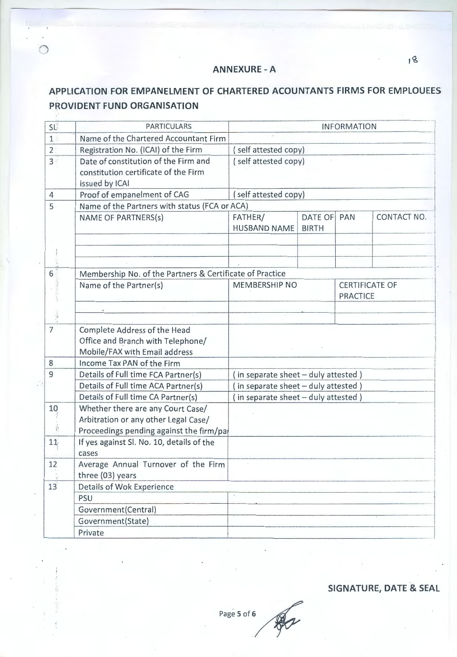# **ANNEXURE - A**

# APPLICATION FOR EMPANELMENT OF CHARTERED ACOUNTANTS FIRMS FOR EMPLOUEES PROVIDENT FUND ORGANISATION

| SL                                                                                                                             | <b>PARTICULARS</b>                                                                                                    | <b>INFORMATION</b>                  |                             |                                          |             |  |  |
|--------------------------------------------------------------------------------------------------------------------------------|-----------------------------------------------------------------------------------------------------------------------|-------------------------------------|-----------------------------|------------------------------------------|-------------|--|--|
| 1 <sup>1</sup>                                                                                                                 | Name of the Chartered Accountant Firm                                                                                 |                                     |                             |                                          |             |  |  |
| 2 <sup>1</sup>                                                                                                                 | Registration No. (ICAI) of the Firm                                                                                   | (self attested copy)                |                             |                                          |             |  |  |
| 3 <sup>°</sup>                                                                                                                 | Date of constitution of the Firm and<br>constitution certificate of the Firm<br>issued by ICAI                        | (self attested copy)                |                             |                                          |             |  |  |
| $\overline{4}$                                                                                                                 | Proof of empanelment of CAG                                                                                           | (self attested copy)                |                             |                                          |             |  |  |
| 5                                                                                                                              | Name of the Partners with status (FCA or ACA)                                                                         |                                     |                             |                                          |             |  |  |
|                                                                                                                                | <b>NAME OF PARTNERS(s)</b>                                                                                            | FATHER/<br><b>HUSBAND NAME</b>      | DATE OF PAN<br><b>BIRTH</b> |                                          | CONTACT NO. |  |  |
|                                                                                                                                |                                                                                                                       |                                     |                             |                                          |             |  |  |
| 6 <sup>1</sup>                                                                                                                 | Membership No. of the Partners & Certificate of Practice                                                              |                                     |                             |                                          |             |  |  |
|                                                                                                                                | Name of the Partner(s)                                                                                                | <b>MEMBERSHIP NO</b>                |                             | <b>CERTIFICATE OF</b><br><b>PRACTICE</b> |             |  |  |
| $\label{eq:2.1} \xi_{\mu\nu}{}^{\mu\nu} \frac{\partial}{\partial \rho} \xi_{\mu\nu}{}^{\mu\nu} \psi_{\nu\sigma}{}^{\nu\sigma}$ |                                                                                                                       |                                     |                             |                                          |             |  |  |
| $\overline{7}$                                                                                                                 | Complete Address of the Head<br>Office and Branch with Telephone/<br>Mobile/FAX with Email address                    |                                     |                             |                                          |             |  |  |
| 8                                                                                                                              | Income Tax PAN of the Firm                                                                                            |                                     |                             |                                          |             |  |  |
| 9                                                                                                                              | Details of Full time FCA Partner(s)                                                                                   | (in separate sheet - duly attested) |                             |                                          |             |  |  |
|                                                                                                                                | Details of Full time ACA Partner(s)                                                                                   | (in separate sheet - duly attested) |                             |                                          |             |  |  |
|                                                                                                                                | Details of Full time CA Partner(s)                                                                                    | (in separate sheet - duly attested) |                             |                                          |             |  |  |
| 10<br>Ŕ                                                                                                                        | Whether there are any Court Case/<br>Arbitration or any other Legal Case/<br>Proceedings pending against the firm/pal |                                     |                             |                                          |             |  |  |
| 11                                                                                                                             | If yes against Sl. No. 10, details of the<br>cases                                                                    |                                     |                             |                                          |             |  |  |
| 12                                                                                                                             | Average Annual Turnover of the Firm<br>three (03) years                                                               |                                     |                             |                                          |             |  |  |
| 13                                                                                                                             | Details of Wok Experience                                                                                             |                                     |                             |                                          |             |  |  |
|                                                                                                                                | PSU                                                                                                                   |                                     |                             |                                          |             |  |  |
|                                                                                                                                | Government(Central)                                                                                                   |                                     |                             |                                          |             |  |  |
|                                                                                                                                | Government(State)                                                                                                     |                                     |                             |                                          |             |  |  |
|                                                                                                                                | Private                                                                                                               |                                     |                             |                                          |             |  |  |

SIGNATURE, DATE & SEAL

18

Page 5 of 6